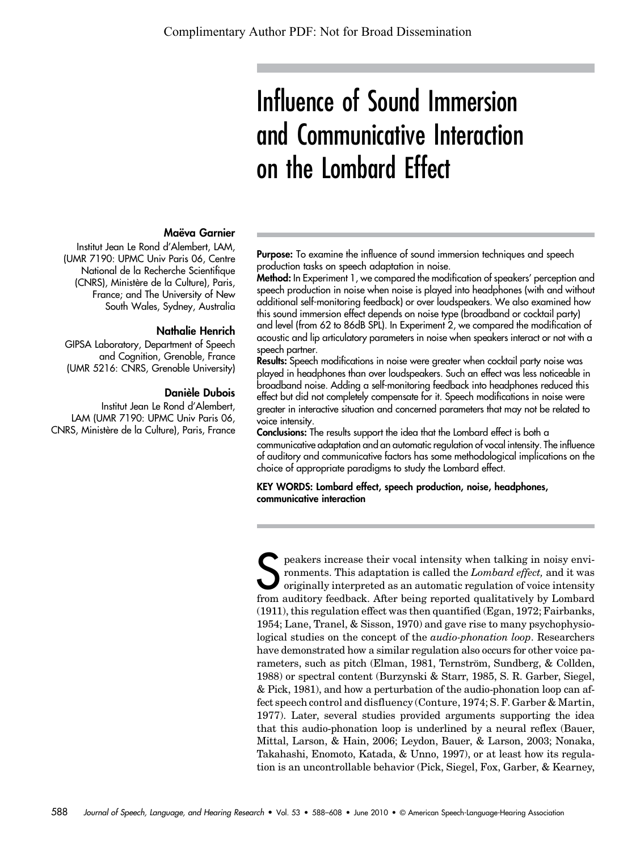# Influence of Sound Immersion and Communicative Interaction on the Lombard Effect

#### Maëva Garnier

Institut Jean Le Rond d'Alembert, LAM, (UMR 7190: UPMC Univ Paris 06, Centre National de la Recherche Scientifique (CNRS), Ministère de la Culture), Paris, France; and The University of New South Wales, Sydney, Australia

#### Nathalie Henrich

GIPSA Laboratory, Department of Speech and Cognition, Grenoble, France (UMR 5216: CNRS, Grenoble University)

#### Danièle Dubois

Institut Jean Le Rond d'Alembert, LAM (UMR 7190: UPMC Univ Paris 06, CNRS, Ministère de la Culture), Paris, France Purpose: To examine the influence of sound immersion techniques and speech production tasks on speech adaptation in noise.

Method: In Experiment 1, we compared the modification of speakers' perception and speech production in noise when noise is played into headphones (with and without additional self-monitoring feedback) or over loudspeakers. We also examined how this sound immersion effect depends on noise type (broadband or cocktail party) and level (from 62 to 86dB SPL). In Experiment 2, we compared the modification of acoustic and lip articulatory parameters in noise when speakers interact or not with a speech partner.

Results: Speech modifications in noise were greater when cocktail party noise was played in headphones than over loudspeakers. Such an effect was less noticeable in broadband noise. Adding a self-monitoring feedback into headphones reduced this effect but did not completely compensate for it. Speech modifications in noise were greater in interactive situation and concerned parameters that may not be related to voice intensity.

Conclusions: The results support the idea that the Lombard effect is both a communicative adaptation and an automatic regulation of vocal intensity. The influence of auditory and communicative factors has some methodological implications on the choice of appropriate paradigms to study the Lombard effect.

KEY WORDS: Lombard effect, speech production, noise, headphones, communicative interaction

S peakers increase their vocal intensity when talking in noisy environments. This adaptation is called the *Lombard effect*, and it was originally interpreted as an automatic regulation of voice intensity from auditory fee ronments. This adaptation is called the *Lombard effect*, and it was originally interpreted as an automatic regulation of voice intensity from auditory feedback. After being reported qualitatively by Lombard (1911), this regulation effect was then quantified (Egan, 1972; Fairbanks, 1954; Lane, Tranel, & Sisson, 1970) and gave rise to many psychophysiological studies on the concept of the audio-phonation loop. Researchers have demonstrated how a similar regulation also occurs for other voice parameters, such as pitch (Elman, 1981, Ternström, Sundberg, & Collden, 1988) or spectral content (Burzynski & Starr, 1985, S. R. Garber, Siegel, & Pick, 1981), and how a perturbation of the audio-phonation loop can affect speech control and disfluency (Conture, 1974; S. F. Garber & Martin, 1977). Later, several studies provided arguments supporting the idea that this audio-phonation loop is underlined by a neural reflex (Bauer, Mittal, Larson, & Hain, 2006; Leydon, Bauer, & Larson, 2003; Nonaka, Takahashi, Enomoto, Katada, & Unno, 1997), or at least how its regulation is an uncontrollable behavior (Pick, Siegel, Fox, Garber, & Kearney,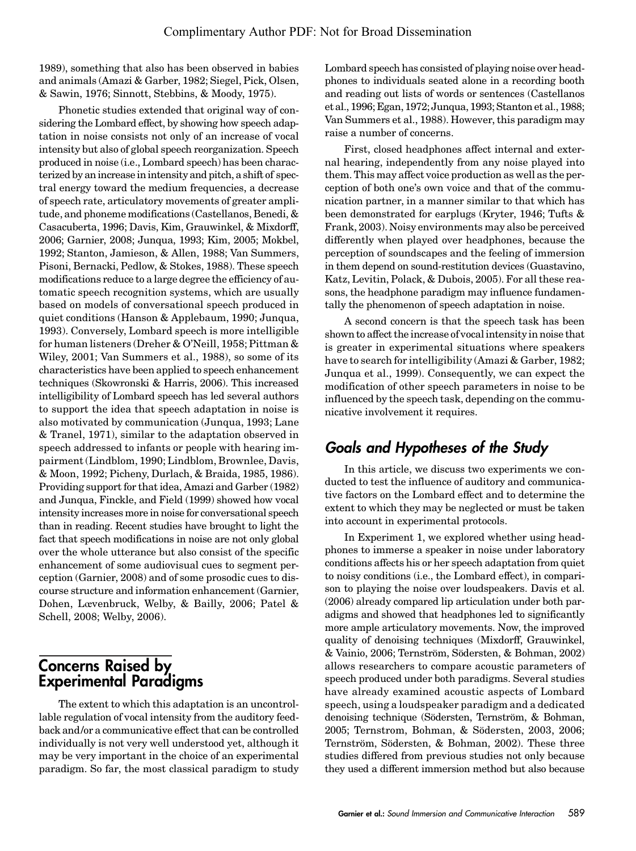1989), something that also has been observed in babies and animals (Amazi & Garber, 1982; Siegel, Pick, Olsen, & Sawin, 1976; Sinnott, Stebbins, & Moody, 1975).

Phonetic studies extended that original way of considering the Lombard effect, by showing how speech adaptation in noise consists not only of an increase of vocal intensity but also of global speech reorganization. Speech produced in noise (i.e., Lombard speech) has been characterized by an increase in intensity and pitch, a shift of spectral energy toward the medium frequencies, a decrease of speech rate, articulatory movements of greater amplitude, and phoneme modifications (Castellanos, Benedi, & Casacuberta, 1996; Davis, Kim, Grauwinkel, & Mixdorff, 2006; Garnier, 2008; Junqua, 1993; Kim, 2005; Mokbel, 1992; Stanton, Jamieson, & Allen, 1988; Van Summers, Pisoni, Bernacki, Pedlow, & Stokes, 1988). These speech modifications reduce to a large degree the efficiency of automatic speech recognition systems, which are usually based on models of conversational speech produced in quiet conditions (Hanson & Applebaum, 1990; Junqua, 1993). Conversely, Lombard speech is more intelligible for human listeners (Dreher & O'Neill, 1958; Pittman & Wiley, 2001; Van Summers et al., 1988), so some of its characteristics have been applied to speech enhancement techniques (Skowronski & Harris, 2006). This increased intelligibility of Lombard speech has led several authors to support the idea that speech adaptation in noise is also motivated by communication (Junqua, 1993; Lane & Tranel, 1971), similar to the adaptation observed in speech addressed to infants or people with hearing impairment (Lindblom, 1990; Lindblom, Brownlee, Davis, & Moon, 1992; Picheny, Durlach, & Braida, 1985, 1986). Providing support for that idea, Amazi and Garber (1982) and Junqua, Finckle, and Field (1999) showed how vocal intensity increases more in noise for conversational speech than in reading. Recent studies have brought to light the fact that speech modifications in noise are not only global over the whole utterance but also consist of the specific enhancement of some audiovisual cues to segment perception (Garnier, 2008) and of some prosodic cues to discourse structure and information enhancement (Garnier, Dohen, Lœvenbruck, Welby, & Bailly, 2006; Patel & Schell, 2008; Welby, 2006).

### Concerns Raised by Experimental Paradigms

The extent to which this adaptation is an uncontrollable regulation of vocal intensity from the auditory feedback and/or a communicative effect that can be controlled individually is not very well understood yet, although it may be very important in the choice of an experimental paradigm. So far, the most classical paradigm to study Lombard speech has consisted of playing noise over headphones to individuals seated alone in a recording booth and reading out lists of words or sentences (Castellanos et al., 1996; Egan, 1972; Junqua, 1993; Stanton et al., 1988; Van Summers et al., 1988). However, this paradigm may raise a number of concerns.

First, closed headphones affect internal and external hearing, independently from any noise played into them. This may affect voice production as well as the perception of both one's own voice and that of the communication partner, in a manner similar to that which has been demonstrated for earplugs (Kryter, 1946; Tufts & Frank, 2003). Noisy environments may also be perceived differently when played over headphones, because the perception of soundscapes and the feeling of immersion in them depend on sound-restitution devices (Guastavino, Katz, Levitin, Polack, & Dubois, 2005). For all these reasons, the headphone paradigm may influence fundamentally the phenomenon of speech adaptation in noise.

A second concern is that the speech task has been shown to affect the increase of vocal intensity in noise that is greater in experimental situations where speakers have to search for intelligibility (Amazi & Garber, 1982; Junqua et al., 1999). Consequently, we can expect the modification of other speech parameters in noise to be influenced by the speech task, depending on the communicative involvement it requires.

### Goals and Hypotheses of the Study

In this article, we discuss two experiments we conducted to test the influence of auditory and communicative factors on the Lombard effect and to determine the extent to which they may be neglected or must be taken into account in experimental protocols.

In Experiment 1, we explored whether using headphones to immerse a speaker in noise under laboratory conditions affects his or her speech adaptation from quiet to noisy conditions (i.e., the Lombard effect), in comparison to playing the noise over loudspeakers. Davis et al. (2006) already compared lip articulation under both paradigms and showed that headphones led to significantly more ample articulatory movements. Now, the improved quality of denoising techniques (Mixdorff, Grauwinkel, & Vainio, 2006; Ternström, Södersten, & Bohman, 2002) allows researchers to compare acoustic parameters of speech produced under both paradigms. Several studies have already examined acoustic aspects of Lombard speech, using a loudspeaker paradigm and a dedicated denoising technique (Södersten, Ternström, & Bohman, 2005; Ternstrom, Bohman, & Södersten, 2003, 2006; Ternström, Södersten, & Bohman, 2002). These three studies differed from previous studies not only because they used a different immersion method but also because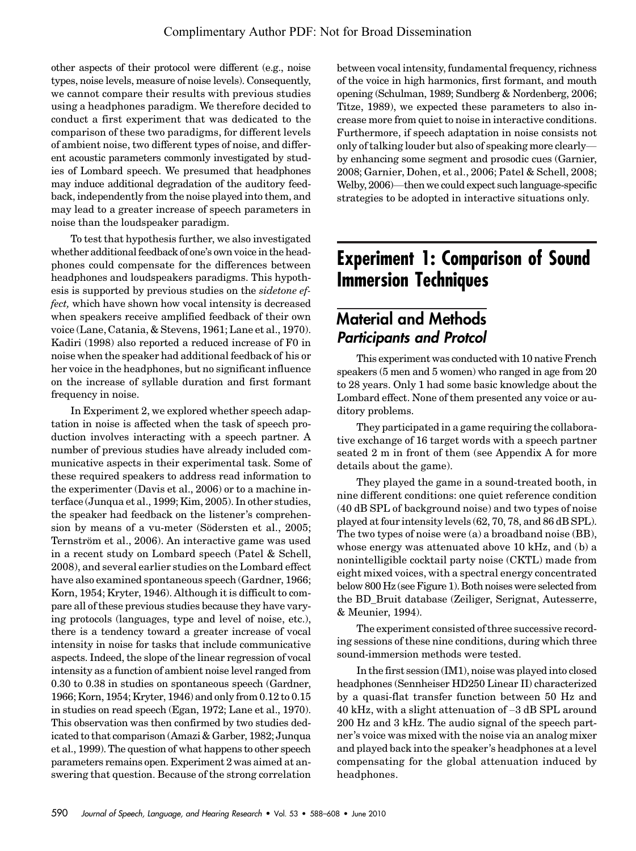other aspects of their protocol were different (e.g., noise types, noise levels, measure of noise levels). Consequently, we cannot compare their results with previous studies using a headphones paradigm. We therefore decided to conduct a first experiment that was dedicated to the comparison of these two paradigms, for different levels of ambient noise, two different types of noise, and different acoustic parameters commonly investigated by studies of Lombard speech. We presumed that headphones may induce additional degradation of the auditory feedback, independently from the noise played into them, and may lead to a greater increase of speech parameters in noise than the loudspeaker paradigm.

To test that hypothesis further, we also investigated whether additional feedback of one's own voice in the headphones could compensate for the differences between headphones and loudspeakers paradigms. This hypothesis is supported by previous studies on the sidetone effect, which have shown how vocal intensity is decreased when speakers receive amplified feedback of their own voice (Lane, Catania, & Stevens, 1961; Lane et al., 1970). Kadiri (1998) also reported a reduced increase of F0 in noise when the speaker had additional feedback of his or her voice in the headphones, but no significant influence on the increase of syllable duration and first formant frequency in noise.

In Experiment 2, we explored whether speech adaptation in noise is affected when the task of speech production involves interacting with a speech partner. A number of previous studies have already included communicative aspects in their experimental task. Some of these required speakers to address read information to the experimenter (Davis et al., 2006) or to a machine interface (Junqua et al., 1999; Kim, 2005). In other studies, the speaker had feedback on the listener's comprehension by means of a vu-meter (Södersten et al., 2005; Ternström et al., 2006). An interactive game was used in a recent study on Lombard speech (Patel & Schell, 2008), and several earlier studies on the Lombard effect have also examined spontaneous speech (Gardner, 1966; Korn, 1954; Kryter, 1946). Although it is difficult to compare all of these previous studies because they have varying protocols (languages, type and level of noise, etc.), there is a tendency toward a greater increase of vocal intensity in noise for tasks that include communicative aspects. Indeed, the slope of the linear regression of vocal intensity as a function of ambient noise level ranged from 0.30 to 0.38 in studies on spontaneous speech (Gardner, 1966; Korn, 1954; Kryter, 1946) and only from 0.12 to 0.15 in studies on read speech (Egan, 1972; Lane et al., 1970). This observation was then confirmed by two studies dedicated to that comparison (Amazi & Garber, 1982; Junqua et al., 1999). The question of what happens to other speech parameters remains open. Experiment 2 was aimed at answering that question. Because of the strong correlation

between vocal intensity, fundamental frequency, richness of the voice in high harmonics, first formant, and mouth opening (Schulman, 1989; Sundberg & Nordenberg, 2006; Titze, 1989), we expected these parameters to also increase more from quiet to noise in interactive conditions. Furthermore, if speech adaptation in noise consists not only of talking louder but also of speaking more clearly by enhancing some segment and prosodic cues (Garnier, 2008; Garnier, Dohen, et al., 2006; Patel & Schell, 2008; Welby, 2006)—then we could expect such language-specific strategies to be adopted in interactive situations only.

# Experiment 1: Comparison of Sound Immersion Techniques

# Material and Methods Participants and Protcol

This experiment was conducted with 10 native French speakers (5 men and 5 women) who ranged in age from 20 to 28 years. Only 1 had some basic knowledge about the Lombard effect. None of them presented any voice or auditory problems.

They participated in a game requiring the collaborative exchange of 16 target words with a speech partner seated 2 m in front of them (see Appendix A for more details about the game).

They played the game in a sound-treated booth, in nine different conditions: one quiet reference condition (40 dB SPL of background noise) and two types of noise played at four intensity levels (62, 70, 78, and 86 dB SPL). The two types of noise were (a) a broadband noise (BB), whose energy was attenuated above 10 kHz, and (b) a nonintelligible cocktail party noise (CKTL) made from eight mixed voices, with a spectral energy concentrated below 800 Hz (see Figure 1). Both noises were selected from the BD\_Bruit database (Zeiliger, Serignat, Autesserre, & Meunier, 1994).

The experiment consisted of three successive recording sessions of these nine conditions, during which three sound-immersion methods were tested.

In the first session (IM1), noise was played into closed headphones (Sennheiser HD250 Linear II) characterized by a quasi-flat transfer function between 50 Hz and 40 kHz, with a slight attenuation of –3 dB SPL around 200 Hz and 3 kHz. The audio signal of the speech partner's voice was mixed with the noise via an analog mixer and played back into the speaker's headphones at a level compensating for the global attenuation induced by headphones.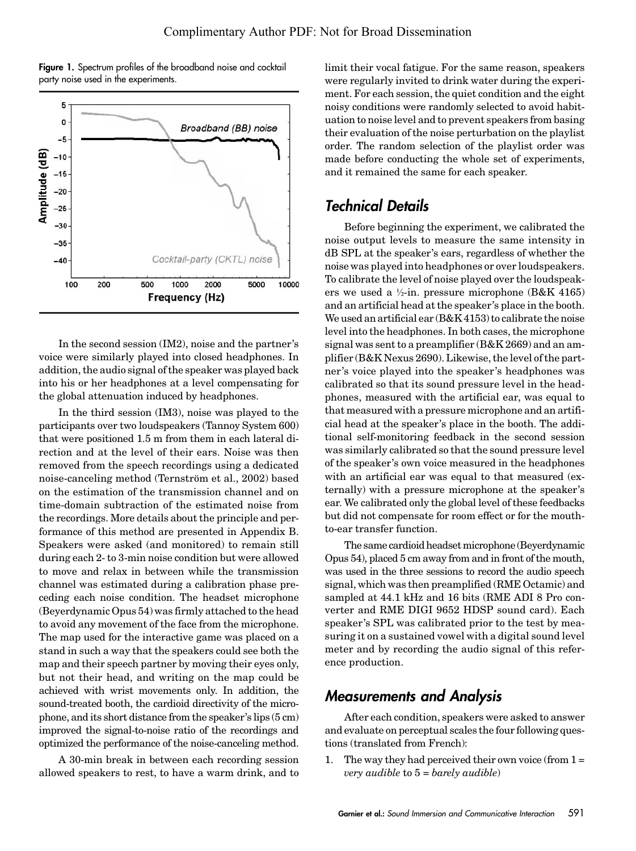

Figure 1. Spectrum profiles of the broadband noise and cocktail party noise used in the experiments.

In the second session (IM2), noise and the partner's voice were similarly played into closed headphones. In addition, the audio signal of the speaker was played back into his or her headphones at a level compensating for the global attenuation induced by headphones.

In the third session (IM3), noise was played to the participants over two loudspeakers (Tannoy System 600) that were positioned 1.5 m from them in each lateral direction and at the level of their ears. Noise was then removed from the speech recordings using a dedicated noise-canceling method (Ternström et al., 2002) based on the estimation of the transmission channel and on time-domain subtraction of the estimated noise from the recordings. More details about the principle and performance of this method are presented in Appendix B. Speakers were asked (and monitored) to remain still during each 2- to 3-min noise condition but were allowed to move and relax in between while the transmission channel was estimated during a calibration phase preceding each noise condition. The headset microphone (Beyerdynamic Opus 54) was firmly attached to the head to avoid any movement of the face from the microphone. The map used for the interactive game was placed on a stand in such a way that the speakers could see both the map and their speech partner by moving their eyes only, but not their head, and writing on the map could be achieved with wrist movements only. In addition, the sound-treated booth, the cardioid directivity of the microphone, and its short distance from the speaker's lips (5 cm) improved the signal-to-noise ratio of the recordings and optimized the performance of the noise-canceling method.

A 30-min break in between each recording session allowed speakers to rest, to have a warm drink, and to limit their vocal fatigue. For the same reason, speakers were regularly invited to drink water during the experiment. For each session, the quiet condition and the eight noisy conditions were randomly selected to avoid habituation to noise level and to prevent speakers from basing their evaluation of the noise perturbation on the playlist order. The random selection of the playlist order was made before conducting the whole set of experiments, and it remained the same for each speaker.

#### Technical Details

Before beginning the experiment, we calibrated the noise output levels to measure the same intensity in dB SPL at the speaker's ears, regardless of whether the noise was played into headphones or over loudspeakers. To calibrate the level of noise played over the loudspeakers we used a  $\frac{1}{2}$ -in. pressure microphone (B&K 4165) and an artificial head at the speaker's place in the booth. We used an artificial ear (B&K 4153) to calibrate the noise level into the headphones. In both cases, the microphone signal was sent to a preamplifier (B&K 2669) and an amplifier (B&K Nexus 2690). Likewise, the level of the partner's voice played into the speaker's headphones was calibrated so that its sound pressure level in the headphones, measured with the artificial ear, was equal to that measured with a pressure microphone and an artificial head at the speaker's place in the booth. The additional self-monitoring feedback in the second session was similarly calibrated so that the sound pressure level of the speaker's own voice measured in the headphones with an artificial ear was equal to that measured (externally) with a pressure microphone at the speaker's ear. We calibrated only the global level of these feedbacks but did not compensate for room effect or for the mouthto-ear transfer function.

The same cardioid headset microphone (Beyerdynamic Opus 54), placed 5 cm away from and in front of the mouth, was used in the three sessions to record the audio speech signal, which was then preamplified (RME Octamic) and sampled at 44.1 kHz and 16 bits (RME ADI 8 Pro converter and RME DIGI 9652 HDSP sound card). Each speaker's SPL was calibrated prior to the test by measuring it on a sustained vowel with a digital sound level meter and by recording the audio signal of this reference production.

#### Measurements and Analysis

After each condition, speakers were asked to answer and evaluate on perceptual scales the four following questions (translated from French):

1. The way they had perceived their own voice (from  $1 =$ very audible to  $5 = \text{barely}$  audible)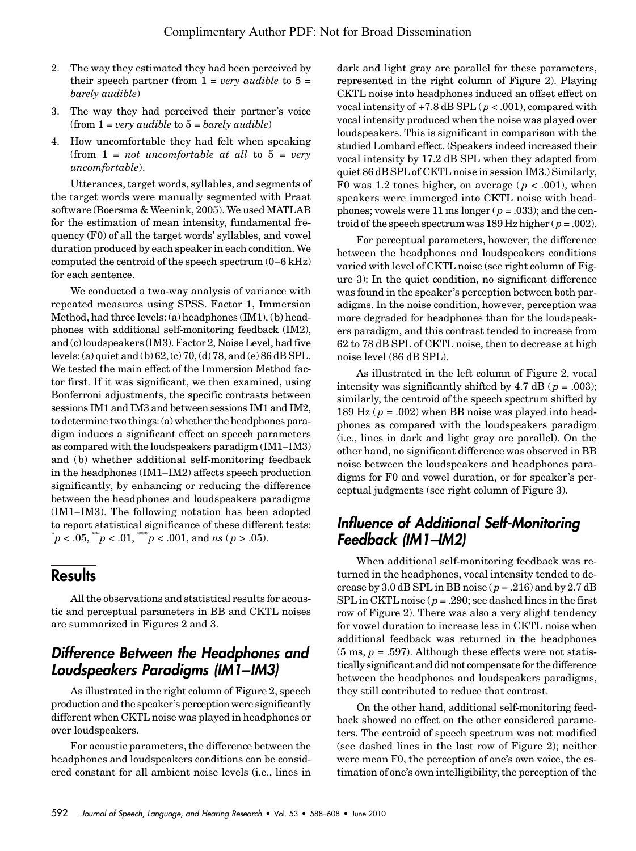- 2. The way they estimated they had been perceived by their speech partner (from  $1 = very \, *audible*$  to  $5 =$ barely audible)
- 3. The way they had perceived their partner's voice (from  $1 = very \, audible \,to 5 = barely \,audible$ )
- 4. How uncomfortable they had felt when speaking (from  $1 = not unconfortable at all to 5 = very$ uncomfortable).

Utterances, target words, syllables, and segments of the target words were manually segmented with Praat software (Boersma & Weenink, 2005). We used MATLAB for the estimation of mean intensity, fundamental frequency (F0) of all the target words' syllables, and vowel duration produced by each speaker in each condition. We computed the centroid of the speech spectrum (0–6 kHz) for each sentence.

We conducted a two-way analysis of variance with repeated measures using SPSS. Factor 1, Immersion Method, had three levels: (a) headphones (IM1), (b) headphones with additional self-monitoring feedback (IM2), and (c) loudspeakers (IM3). Factor 2, Noise Level, had five levels: (a) quiet and (b) 62, (c) 70, (d) 78, and (e) 86 dB SPL. We tested the main effect of the Immersion Method factor first. If it was significant, we then examined, using Bonferroni adjustments, the specific contrasts between sessions IM1 and IM3 and between sessions IM1 and IM2, to determine two things: (a) whether the headphones paradigm induces a significant effect on speech parameters as compared with the loudspeakers paradigm (IM1–IM3) and (b) whether additional self-monitoring feedback in the headphones (IM1–IM2) affects speech production significantly, by enhancing or reducing the difference between the headphones and loudspeakers paradigms (IM1–IM3). The following notation has been adopted to report statistical significance of these different tests:  $p^* p < .05, p^* p < .01, p^* p < .001,$  and ns ( $p > .05$ ).

### **Results**

All the observations and statistical results for acoustic and perceptual parameters in BB and CKTL noises are summarized in Figures 2 and 3.

### Difference Between the Headphones and Loudspeakers Paradigms (IM1–IM3)

As illustrated in the right column of Figure 2, speech production and the speaker's perception were significantly different when CKTL noise was played in headphones or over loudspeakers.

For acoustic parameters, the difference between the headphones and loudspeakers conditions can be considered constant for all ambient noise levels (i.e., lines in dark and light gray are parallel for these parameters, represented in the right column of Figure 2). Playing CKTL noise into headphones induced an offset effect on vocal intensity of  $+7.8$  dB SPL ( $p < .001$ ), compared with vocal intensity produced when the noise was played over loudspeakers. This is significant in comparison with the studied Lombard effect. (Speakers indeed increased their vocal intensity by 17.2 dB SPL when they adapted from quiet 86 dB SPL of CKTL noise in session IM3.) Similarly, F0 was 1.2 tones higher, on average ( $p < .001$ ), when speakers were immerged into CKTL noise with headphones; vowels were 11 ms longer ( $p = .033$ ); and the centroid of the speech spectrum was 189 Hz higher ( $p = .002$ ).

For perceptual parameters, however, the difference between the headphones and loudspeakers conditions varied with level of CKTL noise (see right column of Figure 3): In the quiet condition, no significant difference was found in the speaker's perception between both paradigms. In the noise condition, however, perception was more degraded for headphones than for the loudspeakers paradigm, and this contrast tended to increase from 62 to 78 dB SPL of CKTL noise, then to decrease at high noise level (86 dB SPL).

As illustrated in the left column of Figure 2, vocal intensity was significantly shifted by 4.7 dB ( $p = .003$ ); similarly, the centroid of the speech spectrum shifted by 189 Hz ( $p = .002$ ) when BB noise was played into headphones as compared with the loudspeakers paradigm (i.e., lines in dark and light gray are parallel). On the other hand, no significant difference was observed in BB noise between the loudspeakers and headphones paradigms for F0 and vowel duration, or for speaker's perceptual judgments (see right column of Figure 3).

### Influence of Additional Self-Monitoring Feedback (IM1–IM2)

When additional self-monitoring feedback was returned in the headphones, vocal intensity tended to decrease by  $3.0 \text{ dB}$  SPL in BB noise ( $p = .216$ ) and by  $2.7 \text{ dB}$ SPL in CKTL noise ( $p = .290$ ; see dashed lines in the first row of Figure 2). There was also a very slight tendency for vowel duration to increase less in CKTL noise when additional feedback was returned in the headphones  $(5 \text{ ms}, p = .597)$ . Although these effects were not statistically significant and did not compensate for the difference between the headphones and loudspeakers paradigms, they still contributed to reduce that contrast.

On the other hand, additional self-monitoring feedback showed no effect on the other considered parameters. The centroid of speech spectrum was not modified (see dashed lines in the last row of Figure 2); neither were mean F0, the perception of one's own voice, the estimation of one's own intelligibility, the perception of the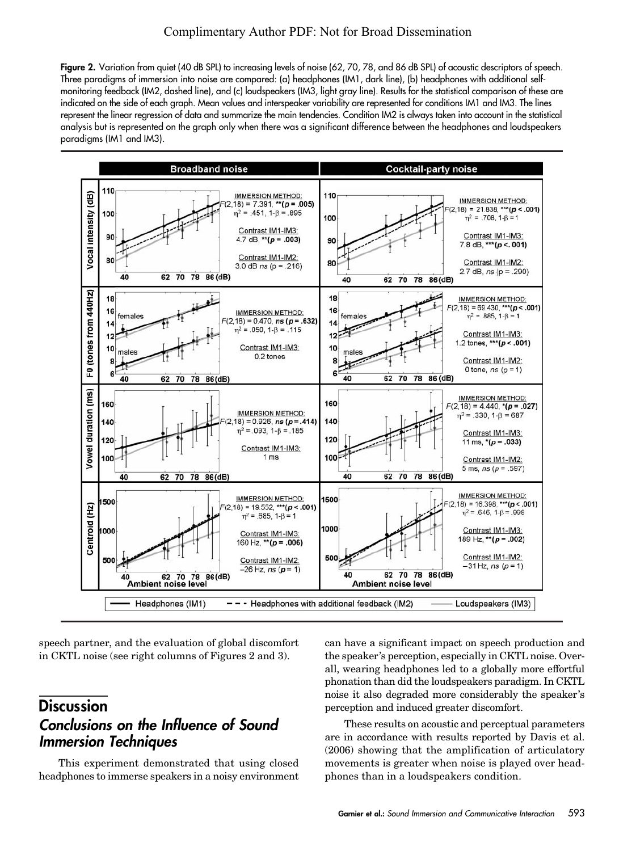Figure 2. Variation from quiet (40 dB SPL) to increasing levels of noise (62, 70, 78, and 86 dB SPL) of acoustic descriptors of speech. Three paradigms of immersion into noise are compared: (a) headphones (IM1, dark line), (b) headphones with additional selfmonitoring feedback (IM2, dashed line), and (c) loudspeakers (IM3, light gray line). Results for the statistical comparison of these are indicated on the side of each graph. Mean values and interspeaker variability are represented for conditions IM1 and IM3. The lines represent the linear regression of data and summarize the main tendencies. Condition IM2 is always taken into account in the statistical analysis but is represented on the graph only when there was a significant difference between the headphones and loudspeakers paradigms (IM1 and IM3).



speech partner, and the evaluation of global discomfort in CKTL noise (see right columns of Figures 2 and 3).

### **Discussion** Conclusions on the Influence of Sound Immersion Techniques

This experiment demonstrated that using closed headphones to immerse speakers in a noisy environment can have a significant impact on speech production and the speaker's perception, especially in CKTL noise. Overall, wearing headphones led to a globally more effortful phonation than did the loudspeakers paradigm. In CKTL noise it also degraded more considerably the speaker's perception and induced greater discomfort.

These results on acoustic and perceptual parameters are in accordance with results reported by Davis et al. (2006) showing that the amplification of articulatory movements is greater when noise is played over headphones than in a loudspeakers condition.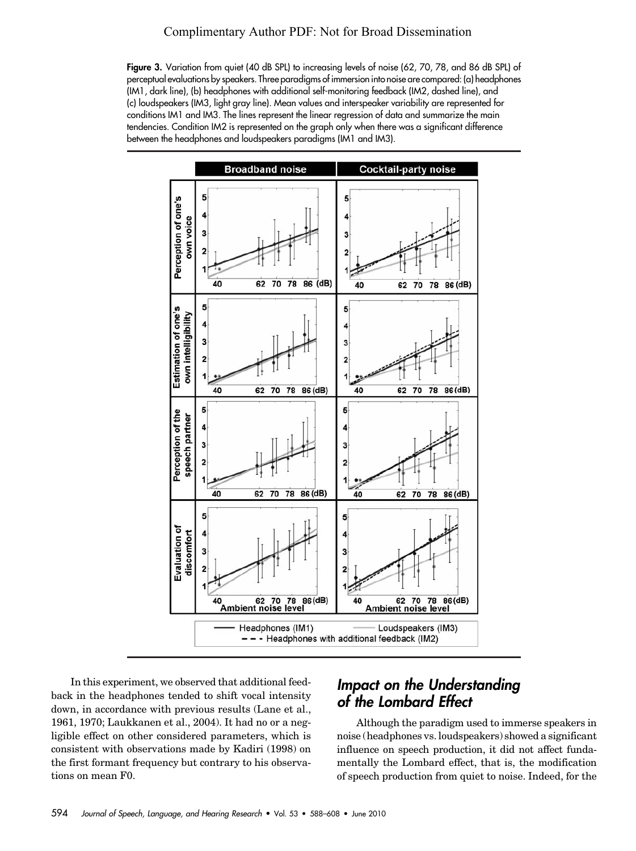Figure 3. Variation from quiet (40 dB SPL) to increasing levels of noise (62, 70, 78, and 86 dB SPL) of perceptual evaluations by speakers. Three paradigms of immersion into noise are compared: (a) headphones (IM1, dark line), (b) headphones with additional self-monitoring feedback (IM2, dashed line), and (c) loudspeakers (IM3, light gray line). Mean values and interspeaker variability are represented for conditions IM1 and IM3. The lines represent the linear regression of data and summarize the main tendencies. Condition IM2 is represented on the graph only when there was a significant difference between the headphones and loudspeakers paradigms (IM1 and IM3).



In this experiment, we observed that additional feedback in the headphones tended to shift vocal intensity down, in accordance with previous results (Lane et al., 1961, 1970; Laukkanen et al., 2004). It had no or a negligible effect on other considered parameters, which is consistent with observations made by Kadiri (1998) on the first formant frequency but contrary to his observations on mean F0.

### Impact on the Understanding of the Lombard Effect

Although the paradigm used to immerse speakers in noise (headphones vs. loudspeakers) showed a significant influence on speech production, it did not affect fundamentally the Lombard effect, that is, the modification of speech production from quiet to noise. Indeed, for the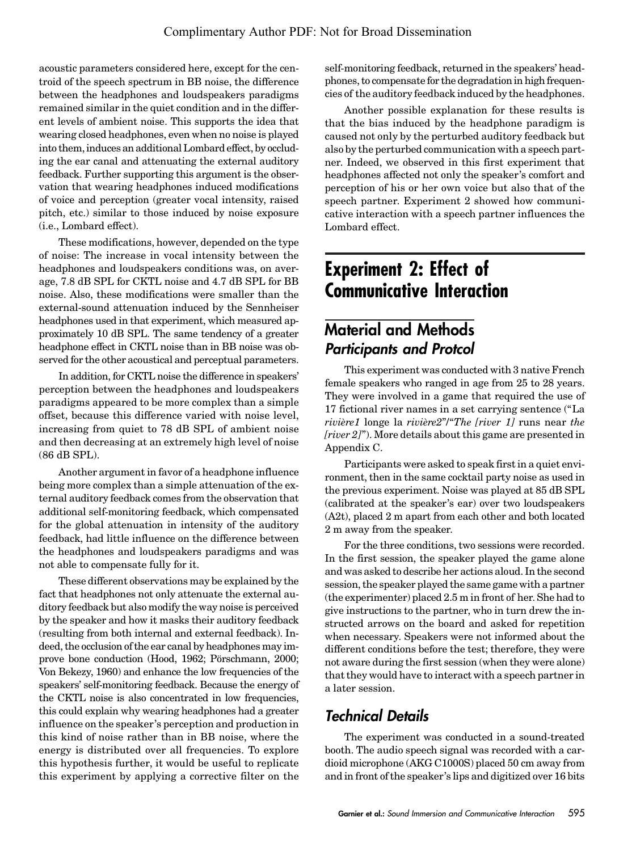acoustic parameters considered here, except for the centroid of the speech spectrum in BB noise, the difference between the headphones and loudspeakers paradigms remained similar in the quiet condition and in the different levels of ambient noise. This supports the idea that wearing closed headphones, even when no noise is played into them, induces an additional Lombard effect, by occluding the ear canal and attenuating the external auditory feedback. Further supporting this argument is the observation that wearing headphones induced modifications of voice and perception (greater vocal intensity, raised pitch, etc.) similar to those induced by noise exposure (i.e., Lombard effect).

These modifications, however, depended on the type of noise: The increase in vocal intensity between the headphones and loudspeakers conditions was, on average, 7.8 dB SPL for CKTL noise and 4.7 dB SPL for BB noise. Also, these modifications were smaller than the external-sound attenuation induced by the Sennheiser headphones used in that experiment, which measured approximately 10 dB SPL. The same tendency of a greater headphone effect in CKTL noise than in BB noise was observed for the other acoustical and perceptual parameters.

In addition, for CKTL noise the difference in speakers' perception between the headphones and loudspeakers paradigms appeared to be more complex than a simple offset, because this difference varied with noise level, increasing from quiet to 78 dB SPL of ambient noise and then decreasing at an extremely high level of noise (86 dB SPL).

Another argument in favor of a headphone influence being more complex than a simple attenuation of the external auditory feedback comes from the observation that additional self-monitoring feedback, which compensated for the global attenuation in intensity of the auditory feedback, had little influence on the difference between the headphones and loudspeakers paradigms and was not able to compensate fully for it.

These different observations may be explained by the fact that headphones not only attenuate the external auditory feedback but also modify the way noise is perceived by the speaker and how it masks their auditory feedback (resulting from both internal and external feedback). Indeed, the occlusion of the ear canal by headphones may improve bone conduction (Hood, 1962; Pörschmann, 2000; Von Bekezy, 1960) and enhance the low frequencies of the speakers' self-monitoring feedback. Because the energy of the CKTL noise is also concentrated in low frequencies, this could explain why wearing headphones had a greater influence on the speaker's perception and production in this kind of noise rather than in BB noise, where the energy is distributed over all frequencies. To explore this hypothesis further, it would be useful to replicate this experiment by applying a corrective filter on the

self-monitoring feedback, returned in the speakers' headphones, to compensate for the degradation in high frequencies of the auditory feedback induced by the headphones.

Another possible explanation for these results is that the bias induced by the headphone paradigm is caused not only by the perturbed auditory feedback but also by the perturbed communication with a speech partner. Indeed, we observed in this first experiment that headphones affected not only the speaker's comfort and perception of his or her own voice but also that of the speech partner. Experiment 2 showed how communicative interaction with a speech partner influences the Lombard effect.

# Experiment 2: Effect of Communicative Interaction

### Material and Methods Participants and Protcol

This experiment was conducted with 3 native French female speakers who ranged in age from 25 to 28 years. They were involved in a game that required the use of 17 fictional river names in a set carrying sentence ("La rivière1 longe la rivière2"/"The [river 1] runs near the [river 2]"). More details about this game are presented in Appendix C.

Participants were asked to speak first in a quiet environment, then in the same cocktail party noise as used in the previous experiment. Noise was played at 85 dB SPL (calibrated at the speaker's ear) over two loudspeakers (A2t), placed 2 m apart from each other and both located 2 m away from the speaker.

For the three conditions, two sessions were recorded. In the first session, the speaker played the game alone and was asked to describe her actions aloud. In the second session, the speaker played the same game with a partner (the experimenter) placed 2.5 m in front of her. She had to give instructions to the partner, who in turn drew the instructed arrows on the board and asked for repetition when necessary. Speakers were not informed about the different conditions before the test; therefore, they were not aware during the first session (when they were alone) that they would have to interact with a speech partner in a later session.

### Technical Details

The experiment was conducted in a sound-treated booth. The audio speech signal was recorded with a cardioid microphone (AKG C1000S) placed 50 cm away from and in front of the speaker's lips and digitized over 16 bits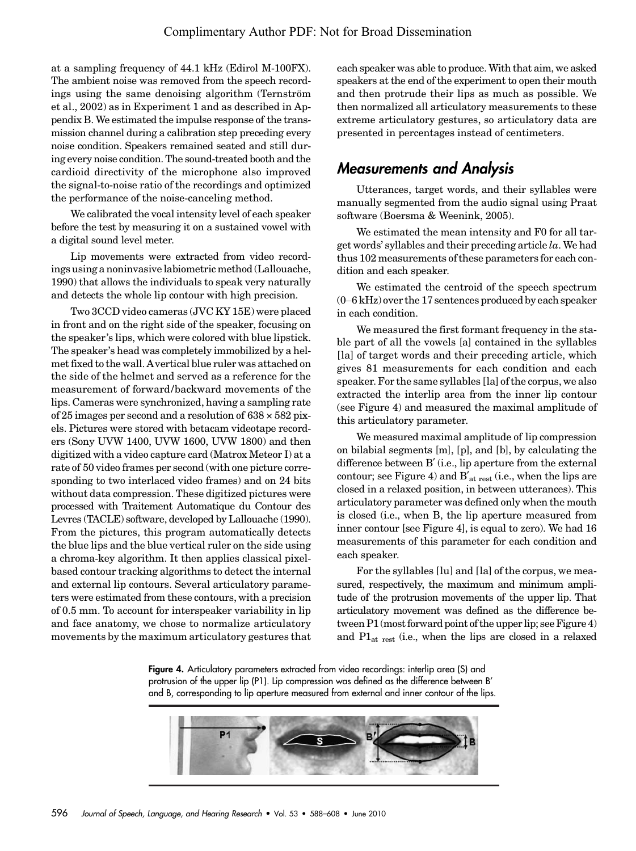at a sampling frequency of 44.1 kHz (Edirol M-100FX). The ambient noise was removed from the speech recordings using the same denoising algorithm (Ternström et al., 2002) as in Experiment 1 and as described in Appendix B. We estimated the impulse response of the transmission channel during a calibration step preceding every noise condition. Speakers remained seated and still during every noise condition. The sound-treated booth and the cardioid directivity of the microphone also improved the signal-to-noise ratio of the recordings and optimized the performance of the noise-canceling method.

We calibrated the vocal intensity level of each speaker before the test by measuring it on a sustained vowel with a digital sound level meter.

Lip movements were extracted from video recordings using a noninvasive labiometric method (Lallouache, 1990) that allows the individuals to speak very naturally and detects the whole lip contour with high precision.

Two 3CCD video cameras (JVC KY 15E) were placed in front and on the right side of the speaker, focusing on the speaker's lips, which were colored with blue lipstick. The speaker's head was completely immobilized by a helmet fixed to the wall. Avertical blue ruler was attached on the side of the helmet and served as a reference for the measurement of forward/backward movements of the lips. Cameras were synchronized, having a sampling rate of 25 images per second and a resolution of 638 × 582 pixels. Pictures were stored with betacam videotape recorders (Sony UVW 1400, UVW 1600, UVW 1800) and then digitized with a video capture card (Matrox Meteor I) at a rate of 50 video frames per second (with one picture corresponding to two interlaced video frames) and on 24 bits without data compression. These digitized pictures were processed with Traitement Automatique du Contour des Levres (TACLE) software, developed by Lallouache (1990). From the pictures, this program automatically detects the blue lips and the blue vertical ruler on the side using a chroma-key algorithm. It then applies classical pixelbased contour tracking algorithms to detect the internal and external lip contours. Several articulatory parameters were estimated from these contours, with a precision of 0.5 mm. To account for interspeaker variability in lip and face anatomy, we chose to normalize articulatory movements by the maximum articulatory gestures that each speaker was able to produce. With that aim, we asked speakers at the end of the experiment to open their mouth and then protrude their lips as much as possible. We then normalized all articulatory measurements to these extreme articulatory gestures, so articulatory data are presented in percentages instead of centimeters.

### Measurements and Analysis

Utterances, target words, and their syllables were manually segmented from the audio signal using Praat software (Boersma & Weenink, 2005).

We estimated the mean intensity and F0 for all target words' syllables and their preceding article  $la$ . We had thus 102 measurements of these parameters for each condition and each speaker.

We estimated the centroid of the speech spectrum (0–6 kHz) over the 17 sentences produced by each speaker in each condition.

We measured the first formant frequency in the stable part of all the vowels [a] contained in the syllables [la] of target words and their preceding article, which gives 81 measurements for each condition and each speaker. For the same syllables [ la] of the corpus, we also extracted the interlip area from the inner lip contour (see Figure 4) and measured the maximal amplitude of this articulatory parameter.

We measured maximal amplitude of lip compression on bilabial segments [m], [p], and [b], by calculating the difference between B' (i.e., lip aperture from the external contour; see Figure 4) and  $B'_{at\, rest}$  (i.e., when the lips are closed in a relaxed position, in between utterances). This articulatory parameter was defined only when the mouth is closed (i.e., when B, the lip aperture measured from inner contour [see Figure 4], is equal to zero). We had 16 measurements of this parameter for each condition and each speaker.

For the syllables [lu] and [la] of the corpus, we measured, respectively, the maximum and minimum amplitude of the protrusion movements of the upper lip. That articulatory movement was defined as the difference between P1 (most forward point of the upper lip; see Figure 4) and P1at rest (i.e., when the lips are closed in a relaxed

Figure 4. Articulatory parameters extracted from video recordings: interlip area (S) and protrusion of the upper lip (P1). Lip compression was defined as the difference between B' and B, corresponding to lip aperture measured from external and inner contour of the lips.

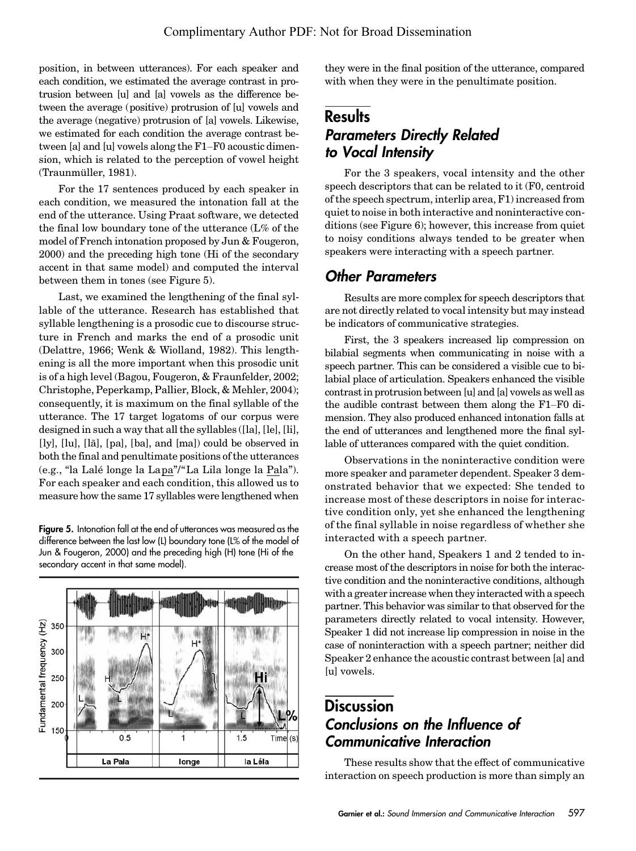position, in between utterances). For each speaker and each condition, we estimated the average contrast in protrusion between [u] and [a] vowels as the difference between the average (positive) protrusion of [u] vowels and the average (negative) protrusion of [a] vowels. Likewise, we estimated for each condition the average contrast between [a] and [u] vowels along the F1–F0 acoustic dimension, which is related to the perception of vowel height (Traunmüller, 1981).

For the 17 sentences produced by each speaker in each condition, we measured the intonation fall at the end of the utterance. Using Praat software, we detected the final low boundary tone of the utterance (L% of the model of French intonation proposed by Jun & Fougeron, 2000) and the preceding high tone (Hi of the secondary accent in that same model) and computed the interval between them in tones (see Figure 5).

Last, we examined the lengthening of the final syllable of the utterance. Research has established that syllable lengthening is a prosodic cue to discourse structure in French and marks the end of a prosodic unit (Delattre, 1966; Wenk & Wiolland, 1982). This lengthening is all the more important when this prosodic unit is of a high level (Bagou, Fougeron, & Fraunfelder, 2002; Christophe, Peperkamp, Pallier, Block, & Mehler, 2004); consequently, it is maximum on the final syllable of the utterance. The 17 target logatoms of our corpus were designed in such a way that all the syllables ([la], [le], [li], [ly], [lu], [lã], [pa], [ba], and [ma]) could be observed in both the final and penultimate positions of the utterances (e.g., "la Lalé longe la Lapa"/"La Lila longe la Pala"). For each speaker and each condition, this allowed us to measure how the same 17 syllables were lengthened when

Figure 5. Intonation fall at the end of utterances was measured as the difference between the last low (L) boundary tone (L% of the model of Jun & Fougeron, 2000) and the preceding high (H) tone (Hi of the secondary accent in that same model).



they were in the final position of the utterance, compared with when they were in the penultimate position.

### **Results** Parameters Directly Related to Vocal Intensity

For the 3 speakers, vocal intensity and the other speech descriptors that can be related to it (F0, centroid of the speech spectrum, interlip area, F1) increased from quiet to noise in both interactive and noninteractive conditions (see Figure 6); however, this increase from quiet to noisy conditions always tended to be greater when speakers were interacting with a speech partner.

#### Other Parameters

Results are more complex for speech descriptors that are not directly related to vocal intensity but may instead be indicators of communicative strategies.

First, the 3 speakers increased lip compression on bilabial segments when communicating in noise with a speech partner. This can be considered a visible cue to bilabial place of articulation. Speakers enhanced the visible contrast in protrusion between [u] and [a] vowels as well as the audible contrast between them along the F1–F0 dimension. They also produced enhanced intonation falls at the end of utterances and lengthened more the final syllable of utterances compared with the quiet condition.

Observations in the noninteractive condition were more speaker and parameter dependent. Speaker 3 demonstrated behavior that we expected: She tended to increase most of these descriptors in noise for interactive condition only, yet she enhanced the lengthening of the final syllable in noise regardless of whether she interacted with a speech partner.

On the other hand, Speakers 1 and 2 tended to increase most of the descriptors in noise for both the interactive condition and the noninteractive conditions, although with a greater increase when they interacted with a speech partner. This behavior was similar to that observed for the parameters directly related to vocal intensity. However, Speaker 1 did not increase lip compression in noise in the case of noninteraction with a speech partner; neither did Speaker 2 enhance the acoustic contrast between [a] and [u] vowels.

# **Discussion** Conclusions on the Influence of Communicative Interaction

These results show that the effect of communicative interaction on speech production is more than simply an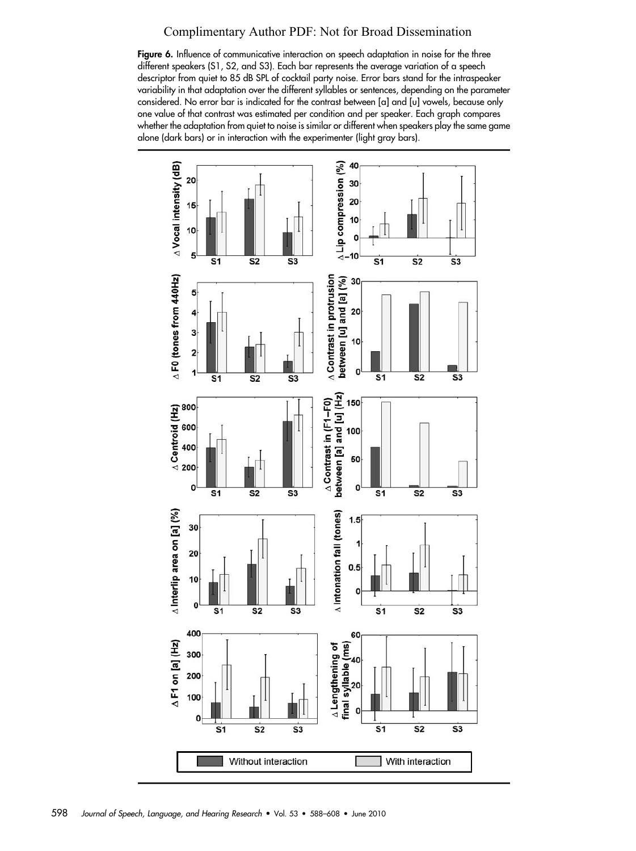#### Complimentary Author PDF: Not for Broad Dissemination

Figure 6. Influence of communicative interaction on speech adaptation in noise for the three different speakers (S1, S2, and S3). Each bar represents the average variation of a speech descriptor from quiet to 85 dB SPL of cocktail party noise. Error bars stand for the intraspeaker variability in that adaptation over the different syllables or sentences, depending on the parameter considered. No error bar is indicated for the contrast between [a] and [u] vowels, because only one value of that contrast was estimated per condition and per speaker. Each graph compares whether the adaptation from quiet to noise is similar or different when speakers play the same game alone (dark bars) or in interaction with the experimenter (light gray bars).

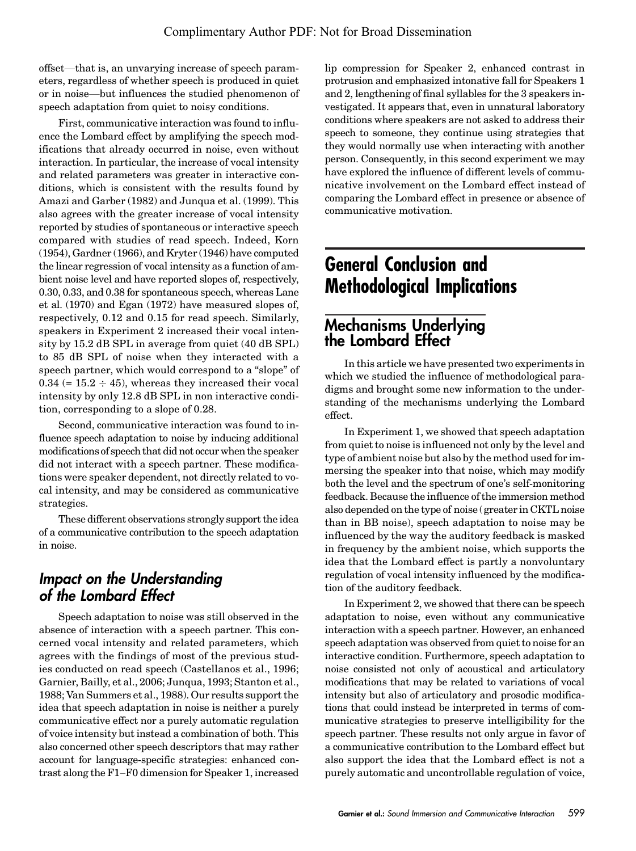offset—that is, an unvarying increase of speech parameters, regardless of whether speech is produced in quiet or in noise—but influences the studied phenomenon of speech adaptation from quiet to noisy conditions.

First, communicative interaction was found to influence the Lombard effect by amplifying the speech modifications that already occurred in noise, even without interaction. In particular, the increase of vocal intensity and related parameters was greater in interactive conditions, which is consistent with the results found by Amazi and Garber (1982) and Junqua et al. (1999). This also agrees with the greater increase of vocal intensity reported by studies of spontaneous or interactive speech compared with studies of read speech. Indeed, Korn (1954), Gardner (1966), and Kryter (1946) have computed the linear regression of vocal intensity as a function of ambient noise level and have reported slopes of, respectively, 0.30, 0.33, and 0.38 for spontaneous speech, whereas Lane et al. (1970) and Egan (1972) have measured slopes of, respectively, 0.12 and 0.15 for read speech. Similarly, speakers in Experiment 2 increased their vocal intensity by 15.2 dB SPL in average from quiet (40 dB SPL) to 85 dB SPL of noise when they interacted with a speech partner, which would correspond to a "slope" of  $0.34$  (=  $15.2 \div 45$ ), whereas they increased their vocal intensity by only 12.8 dB SPL in non interactive condition, corresponding to a slope of 0.28.

Second, communicative interaction was found to influence speech adaptation to noise by inducing additional modifications of speech that did not occur when the speaker did not interact with a speech partner. These modifications were speaker dependent, not directly related to vocal intensity, and may be considered as communicative strategies.

These different observations strongly support the idea of a communicative contribution to the speech adaptation in noise.

### Impact on the Understanding of the Lombard Effect

Speech adaptation to noise was still observed in the absence of interaction with a speech partner. This concerned vocal intensity and related parameters, which agrees with the findings of most of the previous studies conducted on read speech (Castellanos et al., 1996; Garnier, Bailly, et al., 2006; Junqua, 1993; Stanton et al., 1988; Van Summers et al., 1988). Our results support the idea that speech adaptation in noise is neither a purely communicative effect nor a purely automatic regulation of voice intensity but instead a combination of both. This also concerned other speech descriptors that may rather account for language-specific strategies: enhanced contrast along the F1–F0 dimension for Speaker 1, increased lip compression for Speaker 2, enhanced contrast in protrusion and emphasized intonative fall for Speakers 1 and 2, lengthening of final syllables for the 3 speakers investigated. It appears that, even in unnatural laboratory conditions where speakers are not asked to address their speech to someone, they continue using strategies that they would normally use when interacting with another person. Consequently, in this second experiment we may have explored the influence of different levels of communicative involvement on the Lombard effect instead of comparing the Lombard effect in presence or absence of communicative motivation.

# General Conclusion and Methodological Implications

#### Mechanisms Underlying the Lombard Effect

In this article we have presented two experiments in which we studied the influence of methodological paradigms and brought some new information to the understanding of the mechanisms underlying the Lombard effect.

In Experiment 1, we showed that speech adaptation from quiet to noise is influenced not only by the level and type of ambient noise but also by the method used for immersing the speaker into that noise, which may modify both the level and the spectrum of one's self-monitoring feedback. Because the influence of the immersion method also depended on the type of noise (greater in CKTL noise than in BB noise), speech adaptation to noise may be influenced by the way the auditory feedback is masked in frequency by the ambient noise, which supports the idea that the Lombard effect is partly a nonvoluntary regulation of vocal intensity influenced by the modification of the auditory feedback.

In Experiment 2, we showed that there can be speech adaptation to noise, even without any communicative interaction with a speech partner. However, an enhanced speech adaptation was observed from quiet to noise for an interactive condition. Furthermore, speech adaptation to noise consisted not only of acoustical and articulatory modifications that may be related to variations of vocal intensity but also of articulatory and prosodic modifications that could instead be interpreted in terms of communicative strategies to preserve intelligibility for the speech partner. These results not only argue in favor of a communicative contribution to the Lombard effect but also support the idea that the Lombard effect is not a purely automatic and uncontrollable regulation of voice,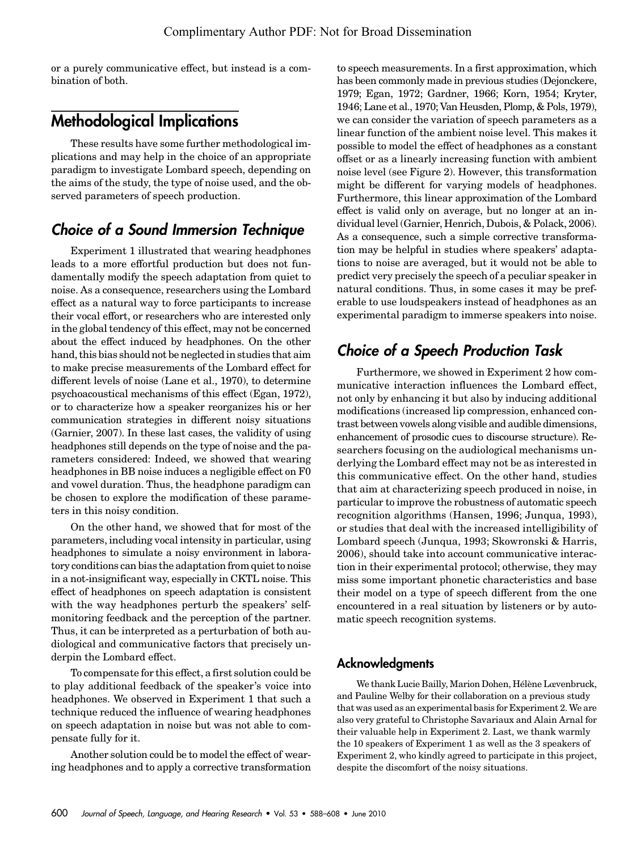or a purely communicative effect, but instead is a combination of both.

## Methodological Implications

These results have some further methodological implications and may help in the choice of an appropriate paradigm to investigate Lombard speech, depending on the aims of the study, the type of noise used, and the observed parameters of speech production.

# Choice of a Sound Immersion Technique

Experiment 1 illustrated that wearing headphones leads to a more effortful production but does not fundamentally modify the speech adaptation from quiet to noise. As a consequence, researchers using the Lombard effect as a natural way to force participants to increase their vocal effort, or researchers who are interested only in the global tendency of this effect, may not be concerned about the effect induced by headphones. On the other hand, this bias should not be neglected in studies that aim to make precise measurements of the Lombard effect for different levels of noise (Lane et al., 1970), to determine psychoacoustical mechanisms of this effect (Egan, 1972), or to characterize how a speaker reorganizes his or her communication strategies in different noisy situations (Garnier, 2007). In these last cases, the validity of using headphones still depends on the type of noise and the parameters considered: Indeed, we showed that wearing headphones in BB noise induces a negligible effect on F0 and vowel duration. Thus, the headphone paradigm can be chosen to explore the modification of these parameters in this noisy condition.

On the other hand, we showed that for most of the parameters, including vocal intensity in particular, using headphones to simulate a noisy environment in laboratory conditions can bias the adaptation from quiet to noise in a not-insignificant way, especially in CKTL noise. This effect of headphones on speech adaptation is consistent with the way headphones perturb the speakers' selfmonitoring feedback and the perception of the partner. Thus, it can be interpreted as a perturbation of both audiological and communicative factors that precisely underpin the Lombard effect.

To compensate for this effect, a first solution could be to play additional feedback of the speaker's voice into headphones. We observed in Experiment 1 that such a technique reduced the influence of wearing headphones on speech adaptation in noise but was not able to compensate fully for it.

Another solution could be to model the effect of wearing headphones and to apply a corrective transformation to speech measurements. In a first approximation, which has been commonly made in previous studies (Dejonckere, 1979; Egan, 1972; Gardner, 1966; Korn, 1954; Kryter, 1946; Lane et al., 1970; Van Heusden, Plomp, & Pols, 1979), we can consider the variation of speech parameters as a linear function of the ambient noise level. This makes it possible to model the effect of headphones as a constant offset or as a linearly increasing function with ambient noise level (see Figure 2). However, this transformation might be different for varying models of headphones. Furthermore, this linear approximation of the Lombard effect is valid only on average, but no longer at an individual level (Garnier, Henrich, Dubois, & Polack, 2006). As a consequence, such a simple corrective transformation may be helpful in studies where speakers' adaptations to noise are averaged, but it would not be able to predict very precisely the speech of a peculiar speaker in natural conditions. Thus, in some cases it may be preferable to use loudspeakers instead of headphones as an experimental paradigm to immerse speakers into noise.

# Choice of a Speech Production Task

Furthermore, we showed in Experiment 2 how communicative interaction influences the Lombard effect, not only by enhancing it but also by inducing additional modifications (increased lip compression, enhanced contrast between vowels along visible and audible dimensions, enhancement of prosodic cues to discourse structure). Researchers focusing on the audiological mechanisms underlying the Lombard effect may not be as interested in this communicative effect. On the other hand, studies that aim at characterizing speech produced in noise, in particular to improve the robustness of automatic speech recognition algorithms (Hansen, 1996; Junqua, 1993), or studies that deal with the increased intelligibility of Lombard speech (Junqua, 1993; Skowronski & Harris, 2006), should take into account communicative interaction in their experimental protocol; otherwise, they may miss some important phonetic characteristics and base their model on a type of speech different from the one encountered in a real situation by listeners or by automatic speech recognition systems.

#### Acknowledgments

We thank Lucie Bailly, Marion Dohen, Hélène Lœvenbruck, and Pauline Welby for their collaboration on a previous study that was used as an experimental basis for Experiment 2. We are also very grateful to Christophe Savariaux and Alain Arnal for their valuable help in Experiment 2. Last, we thank warmly the 10 speakers of Experiment 1 as well as the 3 speakers of Experiment 2, who kindly agreed to participate in this project, despite the discomfort of the noisy situations.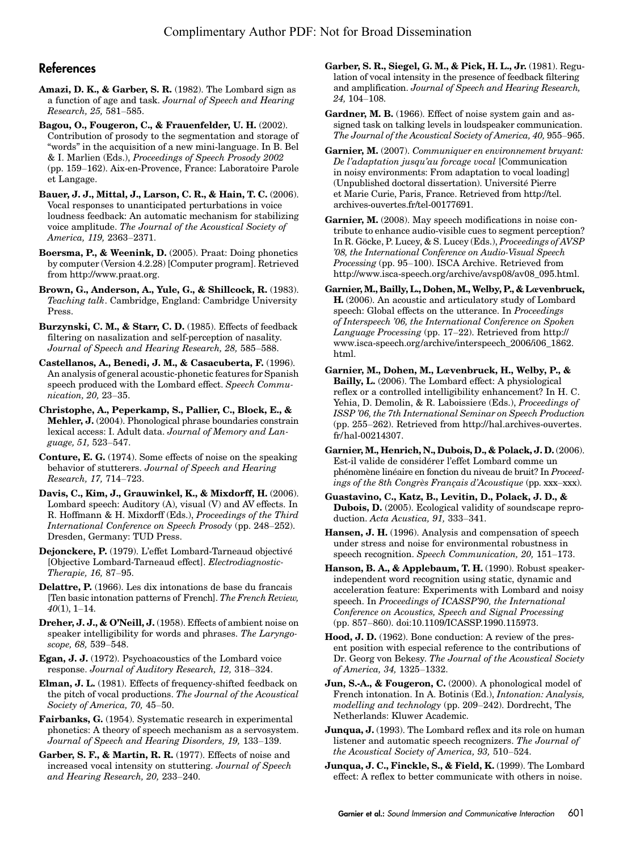#### References

Amazi, D. K., & Garber, S. R. (1982). The Lombard sign as a function of age and task. Journal of Speech and Hearing Research, 25, 581–585.

Bagou, O., Fougeron, C., & Frauenfelder, U. H. (2002). Contribution of prosody to the segmentation and storage of "words" in the acquisition of a new mini-language. In B. Bel & I. Marlien (Eds.), Proceedings of Speech Prosody 2002 (pp. 159–162). Aix-en-Provence, France: Laboratoire Parole et Langage.

Bauer, J. J., Mittal, J., Larson, C. R., & Hain, T. C. (2006). Vocal responses to unanticipated perturbations in voice loudness feedback: An automatic mechanism for stabilizing voice amplitude. The Journal of the Acoustical Society of America, 119, 2363–2371.

Boersma, P., & Weenink, D. (2005). Praat: Doing phonetics by computer (Version 4.2.28) [Computer program]. Retrieved from http://www.praat.org.

Brown, G., Anderson, A., Yule, G., & Shillcock, R. (1983). Teaching talk. Cambridge, England: Cambridge University Press.

Burzynski, C. M., & Starr, C. D. (1985). Effects of feedback filtering on nasalization and self-perception of nasality. Journal of Speech and Hearing Research, 28, 585–588.

Castellanos, A., Benedi, J. M., & Casacuberta, F. (1996). An analysis of general acoustic-phonetic features for Spanish speech produced with the Lombard effect. Speech Communication, 20, 23–35.

Christophe, A., Peperkamp, S., Pallier, C., Block, E., & Mehler, J. (2004). Phonological phrase boundaries constrain lexical access: I. Adult data. Journal of Memory and Language, 51, 523–547.

Conture, E. G. (1974). Some effects of noise on the speaking behavior of stutterers. Journal of Speech and Hearing Research, 17, 714–723.

Davis, C., Kim, J., Grauwinkel, K., & Mixdorff, H. (2006). Lombard speech: Auditory (A), visual (V) and AV effects. In R. Hoffmann & H. Mixdorff (Eds.), Proceedings of the Third International Conference on Speech Prosody (pp. 248–252). Dresden, Germany: TUD Press.

Dejonckere, P. (1979). L'effet Lombard-Tarneaud objectivé [Objective Lombard-Tarneaud effect]. Electrodiagnostic-Therapie, 16, 87–95.

Delattre, P. (1966). Les dix intonations de base du francais [Ten basic intonation patterns of French]. The French Review, 40(1), 1–14.

Dreher, J. J., & O*'*Neill, J. (1958). Effects of ambient noise on speaker intelligibility for words and phrases. The Laryngoscope, 68, 539–548.

Egan, J. J. (1972). Psychoacoustics of the Lombard voice response. Journal of Auditory Research, 12, 318–324.

Elman, J. L. (1981). Effects of frequency-shifted feedback on the pitch of vocal productions. The Journal of the Acoustical Society of America, 70, 45–50.

Fairbanks, G. (1954). Systematic research in experimental phonetics: A theory of speech mechanism as a servosystem. Journal of Speech and Hearing Disorders, 19, 133–139.

Garber, S. F., & Martin, R. R. (1977). Effects of noise and increased vocal intensity on stuttering. Journal of Speech and Hearing Research, 20, 233–240.

Garber, S. R., Siegel, G. M., & Pick, H. L., Jr. (1981). Regulation of vocal intensity in the presence of feedback filtering and amplification. Journal of Speech and Hearing Research, 24, 104–108.

Gardner, M. B. (1966). Effect of noise system gain and assigned task on talking levels in loudspeaker communication. The Journal of the Acoustical Society of America, 40, 955–965.

Garnier, M. (2007). Communiquer en environnement bruyant: De l'adaptation jusqu'au forcage vocal [Communication in noisy environments: From adaptation to vocal loading] (Unpublished doctoral dissertation). Université Pierre et Marie Curie, Paris, France. Retrieved from http://tel. archives-ouvertes.fr/tel-00177691.

Garnier, M. (2008). May speech modifications in noise contribute to enhance audio-visible cues to segment perception? In R. Göcke, P. Lucey, & S. Lucey (Eds.), Proceedings of AVSP '08, the International Conference on Audio-Visual Speech Processing (pp. 95–100). ISCA Archive. Retrieved from http://www.isca-speech.org/archive/avsp08/av08\_095.html.

Garnier, M., Bailly, L., Dohen, M., Welby, P., & Lœvenbruck, H. (2006). An acoustic and articulatory study of Lombard speech: Global effects on the utterance. In Proceedings of Interspeech '06, the International Conference on Spoken Language Processing (pp. 17–22). Retrieved from http:// www.isca-speech.org/archive/interspeech\_2006/i06\_1862. html.

Garnier, M., Dohen, M., Lœvenbruck, H., Welby, P., & Bailly, L. (2006). The Lombard effect: A physiological reflex or a controlled intelligibility enhancement? In H. C. Yehia, D. Demolin, & R. Laboissiere (Eds.), Proceedings of ISSP '06, the 7th International Seminar on Speech Production (pp. 255–262). Retrieved from http://hal.archives-ouvertes. fr/ hal-00214307.

Garnier, M., Henrich, N., Dubois, D., & Polack, J. D. (2006). Est-il valide de considérer l'effet Lombard comme un phénomène linéaire en fonction du niveau de bruit? In Proceedings of the 8th Congrès Français d'Acoustique (pp. xxx–xxx).

Guastavino, C., Katz, B., Levitin, D., Polack, J. D., & Dubois, D. (2005). Ecological validity of soundscape reproduction. Acta Acustica, 91, 333–341.

Hansen, J. H. (1996). Analysis and compensation of speech under stress and noise for environmental robustness in speech recognition. Speech Communication, 20, 151-173.

Hanson, B. A., & Applebaum, T. H. (1990). Robust speakerindependent word recognition using static, dynamic and acceleration feature: Experiments with Lombard and noisy speech. In Proceedings of ICASSP'90, the International Conference on Acoustics, Speech and Signal Processing (pp. 857–860). doi:10.1109/ICASSP.1990.115973.

Hood, J. D. (1962). Bone conduction: A review of the present position with especial reference to the contributions of Dr. Georg von Bekesy. The Journal of the Acoustical Society of America, 34, 1325–1332.

Jun, S.-A., & Fougeron, C. (2000). A phonological model of French intonation. In A. Botinis (Ed.), Intonation: Analysis, modelling and technology (pp. 209–242). Dordrecht, The Netherlands: Kluwer Academic.

Junqua, J. (1993). The Lombard reflex and its role on human listener and automatic speech recognizers. The Journal of the Acoustical Society of America, 93, 510–524.

Junqua, J. C., Finckle, S., & Field, K. (1999). The Lombard effect: A reflex to better communicate with others in noise.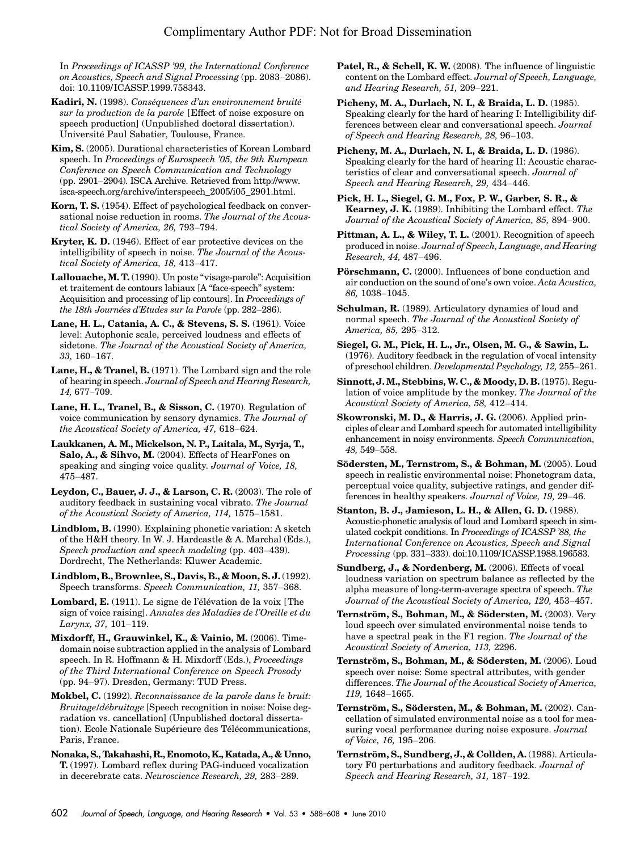In Proceedings of ICASSP '99, the International Conference on Acoustics, Speech and Signal Processing (pp. 2083–2086). doi: 10.1109/ICASSP.1999.758343.

- Kadiri, N. (1998). Conséquences d'un environnement bruité sur la production de la parole [Effect of noise exposure on speech production] (Unpublished doctoral dissertation). Université Paul Sabatier, Toulouse, France.
- Kim, S. (2005). Durational characteristics of Korean Lombard speech. In Proceedings of Eurospeech '05, the 9th European Conference on Speech Communication and Technology (pp. 2901–2904). ISCA Archive. Retrieved from http://www. isca-speech.org/archive/interspeech\_2005/i05\_2901.html.
- Korn, T. S. (1954). Effect of psychological feedback on conversational noise reduction in rooms. The Journal of the Acoustical Society of America, 26, 793–794.
- Kryter, K. D. (1946). Effect of ear protective devices on the intelligibility of speech in noise. The Journal of the Acoustical Society of America, 18, 413–417.
- Lallouache, M. T. (1990). Un poste "visage-parole": Acquisition et traitement de contours labiaux [A "face-speech" system: Acquisition and processing of lip contours]. In Proceedings of the 18th Journées d'Etudes sur la Parole (pp. 282–286).
- Lane, H. L., Catania, A. C., & Stevens, S. S. (1961). Voice level: Autophonic scale, perceived loudness and effects of sidetone. The Journal of the Acoustical Society of America, 33, 160–167.
- Lane, H., & Tranel, B. (1971). The Lombard sign and the role of hearing in speech. Journal of Speech and Hearing Research, 14, 677–709.
- Lane, H. L., Tranel, B., & Sisson, C. (1970). Regulation of voice communication by sensory dynamics. The Journal of the Acoustical Society of America, 47, 618–624.
- Laukkanen, A. M., Mickelson, N. P., Laitala, M., Syrja, T., Salo, A., & Sihvo, M. (2004). Effects of HearFones on speaking and singing voice quality. Journal of Voice, 18, 475–487.
- Leydon, C., Bauer, J. J., & Larson, C. R. (2003). The role of auditory feedback in sustaining vocal vibrato. The Journal of the Acoustical Society of America, 114, 1575–1581.
- Lindblom, B. (1990). Explaining phonetic variation: A sketch of the H&H theory. In W. J. Hardcastle & A. Marchal (Eds.), Speech production and speech modeling (pp. 403–439). Dordrecht, The Netherlands: Kluwer Academic.
- Lindblom, B., Brownlee, S., Davis, B., & Moon, S. J. (1992). Speech transforms. Speech Communication, 11, 357–368.
- Lombard, E. (1911). Le signe de l'élévation de la voix [The sign of voice raising]. Annales des Maladies de l'Oreille et du Larynx, 37, 101–119.
- Mixdorff, H., Grauwinkel, K., & Vainio, M. (2006). Timedomain noise subtraction applied in the analysis of Lombard speech. In R. Hoffmann & H. Mixdorff (Eds.), Proceedings of the Third International Conference on Speech Prosody (pp. 94–97). Dresden, Germany: TUD Press.
- Mokbel, C. (1992). Reconnaissance de la parole dans le bruit: Bruitage/débruitage [Speech recognition in noise: Noise degradation vs. cancellation] (Unpublished doctoral dissertation). Ecole Nationale Supérieure des Télécommunications, Paris, France.
- Nonaka, S., Takahashi, R., Enomoto, K., Katada, A., & Unno, T. (1997). Lombard reflex during PAG-induced vocalization in decerebrate cats. Neuroscience Research, 29, 283–289.
- Patel, R., & Schell, K. W. (2008). The influence of linguistic content on the Lombard effect. Journal of Speech, Language, and Hearing Research, 51, 209–221.
- Picheny, M. A., Durlach, N. I., & Braida, L. D. (1985). Speaking clearly for the hard of hearing I: Intelligibility differences between clear and conversational speech. Journal of Speech and Hearing Research, 28, 96–103.
- Picheny, M. A., Durlach, N. I., & Braida, L. D. (1986). Speaking clearly for the hard of hearing II: Acoustic characteristics of clear and conversational speech. Journal of Speech and Hearing Research, 29, 434–446.
- Pick, H. L., Siegel, G. M., Fox, P. W., Garber, S. R., & Kearney, J. K. (1989). Inhibiting the Lombard effect. The Journal of the Acoustical Society of America, 85, 894–900.
- Pittman, A. L., & Wiley, T. L. (2001). Recognition of speech produced in noise. Journal of Speech, Language, and Hearing Research, 44, 487–496.
- Pörschmann, C. (2000). Influences of bone conduction and air conduction on the sound of one's own voice. Acta Acustica, 86, 1038–1045.
- Schulman, R. (1989). Articulatory dynamics of loud and normal speech. The Journal of the Acoustical Society of America, 85, 295–312.
- Siegel, G. M., Pick, H. L., Jr., Olsen, M. G., & Sawin, L. (1976). Auditory feedback in the regulation of vocal intensity of preschool children. Developmental Psychology, 12, 255–261.
- Sinnott, J. M., Stebbins, W. C., & Moody, D. B. (1975). Regulation of voice amplitude by the monkey. The Journal of the Acoustical Society of America, 58, 412–414.
- Skowronski, M. D., & Harris, J. G. (2006). Applied principles of clear and Lombard speech for automated intelligibility enhancement in noisy environments. Speech Communication, 48, 549–558.
- Södersten, M., Ternstrom, S., & Bohman, M. (2005). Loud speech in realistic environmental noise: Phonetogram data, perceptual voice quality, subjective ratings, and gender differences in healthy speakers. Journal of Voice, 19, 29–46.
- Stanton, B. J., Jamieson, L. H., & Allen, G. D. (1988). Acoustic-phonetic analysis of loud and Lombard speech in simulated cockpit conditions. In Proceedings of ICASSP '88, the International Conference on Acoustics, Speech and Signal Processing (pp. 331–333). doi:10.1109/ICASSP.1988.196583.
- Sundberg, J., & Nordenberg, M. (2006). Effects of vocal loudness variation on spectrum balance as reflected by the alpha measure of long-term-average spectra of speech. The Journal of the Acoustical Society of America, 120, 453–457.
- Ternström, S., Bohman, M., & Södersten, M. (2003). Very loud speech over simulated environmental noise tends to have a spectral peak in the F1 region. The Journal of the Acoustical Society of America, 113, 2296.
- Ternström, S., Bohman, M., & Södersten, M. (2006). Loud speech over noise: Some spectral attributes, with gender differences. The Journal of the Acoustical Society of America, 119, 1648–1665.
- Ternström, S., Södersten, M., & Bohman, M. (2002). Cancellation of simulated environmental noise as a tool for measuring vocal performance during noise exposure. Journal of Voice, 16, 195–206.
- Ternström, S., Sundberg, J., & Collden, A. (1988). Articulatory F0 perturbations and auditory feedback. Journal of Speech and Hearing Research, 31, 187–192.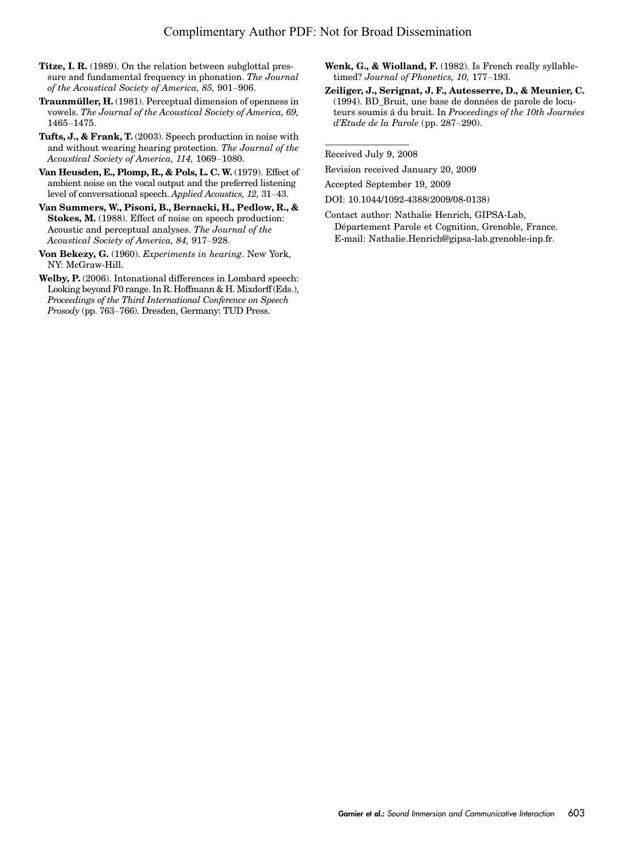- Titze, I. R. (1989). On the relation between subglottal pressure and fundamental frequency in phonation. The Journal of the Acoustical Society of America, 85, 901–906.
- Traunmüller, H. (1981). Perceptual dimension of openness in vowels. The Journal of the Acoustical Society of America, 69, 1465–1475.
- Tufts, J., & Frank, T. (2003). Speech production in noise with and without wearing hearing protection. The Journal of the Acoustical Society of America, 114, 1069–1080.
- Van Heusden, E., Plomp, R., & Pols, L. C. W. (1979). Effect of ambient noise on the vocal output and the preferred listening level of conversational speech. Applied Acoustics, 12, 31–43.
- Van Summers, W., Pisoni, B., Bernacki, H., Pedlow, R., & Stokes, M. (1988). Effect of noise on speech production: Acoustic and perceptual analyses. The Journal of the Acoustical Society of America, 84, 917–928.
- Von Bekezy, G. (1960). Experiments in hearing. New York, NY: McGraw-Hill.
- Welby, P. (2006). Intonational differences in Lombard speech: Looking beyond F0 range. In R. Hoffmann & H. Mixdorff (Eds.), Proceedings of the Third International Conference on Speech Prosody (pp. 763–766). Dresden, Germany: TUD Press.
- Wenk, G., & Wiolland, F. (1982). Is French really syllabletimed? Journal of Phonetics, 10, 177–193.
- Zeiliger, J., Serignat, J. F., Autesserre, D., & Meunier, C. (1994). BD\_Bruit, une base de données de parole de locuteurs soumis á du bruit. In Proceedings of the 10th Journées d'Etude de la Parole (pp. 287–290).

Received July 9, 2008

Revision received January 20, 2009

Accepted September 19, 2009

- DOI: 10.1044/1092-4388(2009/08-0138)
- Contact author: Nathalie Henrich, GIPSA-Lab, Département Parole et Cognition, Grenoble, France. E-mail: Nathalie.Henrich@gipsa-lab.grenoble-inp.fr.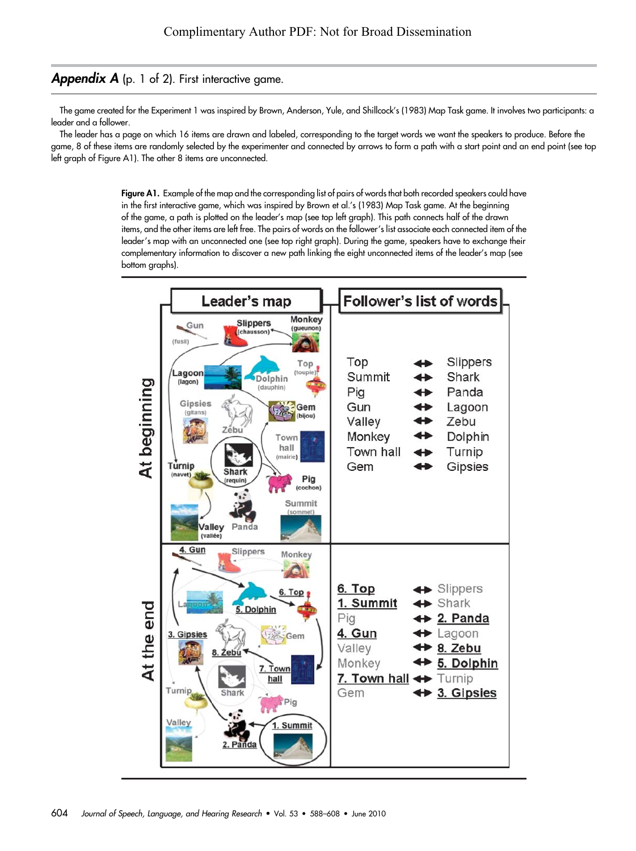#### **Appendix A** (p. 1 of 2). First interactive game.

The game created for the Experiment 1 was inspired by Brown, Anderson, Yule, and Shillcock's (1983) Map Task game. It involves two participants: a leader and a follower.

The leader has a page on which 16 items are drawn and labeled, corresponding to the target words we want the speakers to produce. Before the game, 8 of these items are randomly selected by the experimenter and connected by arrows to form a path with a start point and an end point (see top left graph of Figure A1). The other 8 items are unconnected.

> Figure A1. Example of the map and the corresponding list of pairs of words that both recorded speakers could have in the first interactive game, which was inspired by Brown et al.'s (1983) Map Task game. At the beginning of the game, a path is plotted on the leader's map (see top left graph). This path connects half of the drawn items, and the other items are left free. The pairs of words on the follower's list associate each connected item of the leader's map with an unconnected one (see top right graph). During the game, speakers have to exchange their complementary information to discover a new path linking the eight unconnected items of the leader's map (see bottom graphs).

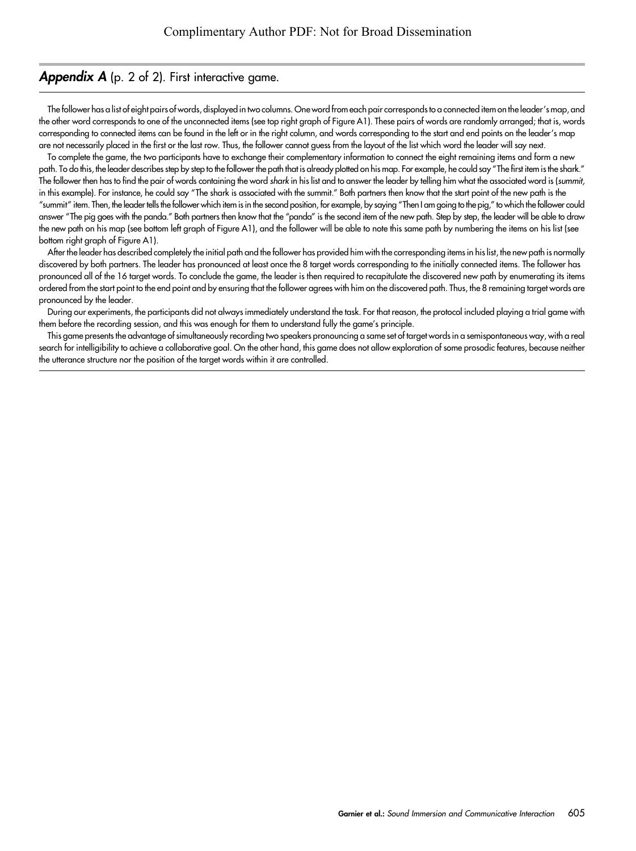#### **Appendix A** (p. 2 of 2). First interactive game.

The follower has a list of eight pairs of words, displayed in two columns. One word from each pair corresponds to a connected item on the leader's map, and the other word corresponds to one of the unconnected items (see top right graph of Figure A1). These pairs of words are randomly arranged; that is, words corresponding to connected items can be found in the left or in the right column, and words corresponding to the start and end points on the leader's map are not necessarily placed in the first or the last row. Thus, the follower cannot guess from the layout of the list which word the leader will say next.

To complete the game, the two participants have to exchange their complementary information to connect the eight remaining items and form a new path. To do this, the leader describes step by step to the follower the path that is already plotted on his map. For example, he could say "The first item is the shark." The follower then has to find the pair of words containing the word shark in his list and to answer the leader by telling him what the associated word is (summit, in this example). For instance, he could say "The shark is associated with the summit." Both partners then know that the start point of the new path is the "summit" item. Then, the leader tells the follower which item is in the second position, for example, by saying "Then I am going to the pig," to which the follower could answer "The pig goes with the panda." Both partners then know that the "panda" is the second item of the new path. Step by step, the leader will be able to draw the new path on his map (see bottom left graph of Figure A1), and the follower will be able to note this same path by numbering the items on his list (see bottom right graph of Figure A1).

After the leader has described completely the initial path and the follower has provided him with the corresponding items in his list, the new path is normally discovered by both partners. The leader has pronounced at least once the 8 target words corresponding to the initially connected items. The follower has pronounced all of the 16 target words. To conclude the game, the leader is then required to recapitulate the discovered new path by enumerating its items ordered from the start point to the end point and by ensuring that the follower agrees with him on the discovered path. Thus, the 8 remaining target words are pronounced by the leader.

During our experiments, the participants did not always immediately understand the task. For that reason, the protocol included playing a trial game with them before the recording session, and this was enough for them to understand fully the game's principle.

This game presents the advantage of simultaneously recording two speakers pronouncing a same set of target words in a semispontaneous way, with a real search for intelligibility to achieve a collaborative goal. On the other hand, this game does not allow exploration of some prosodic features, because neither the utterance structure nor the position of the target words within it are controlled.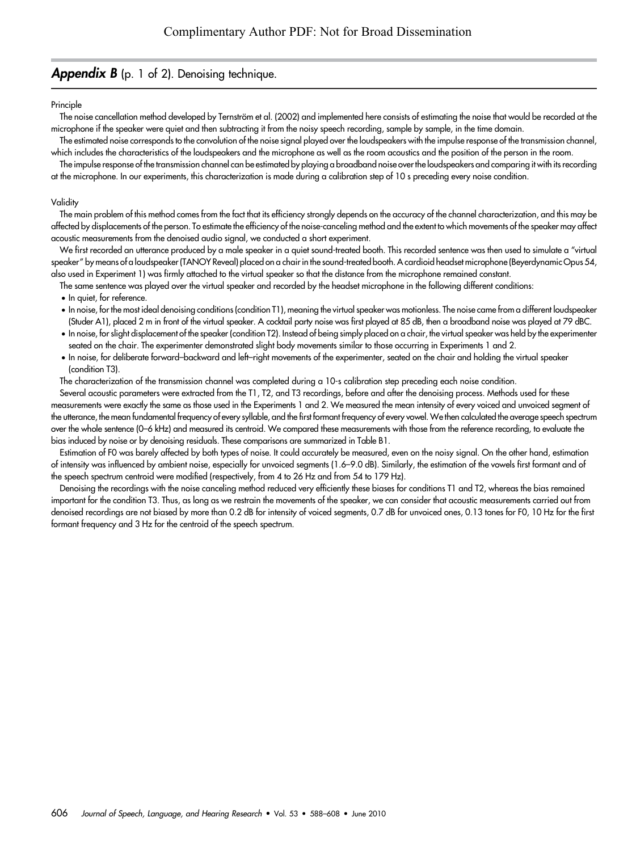#### **Appendix B** (p. 1 of 2). Denoising technique.

#### **Principle**

The noise cancellation method developed by Ternström et al. (2002) and implemented here consists of estimating the noise that would be recorded at the microphone if the speaker were quiet and then subtracting it from the noisy speech recording, sample by sample, in the time domain.

The estimated noise corresponds to the convolution of the noise signal played over the loudspeakers with the impulse response of the transmission channel, which includes the characteristics of the loudspeakers and the microphone as well as the room acoustics and the position of the person in the room.

The impulse response of the transmission channel can be estimated by playing a broadband noise over the loudspeakers and comparing it with its recording at the microphone. In our experiments, this characterization is made during a calibration step of 10 s preceding every noise condition.

#### **Validity**

The main problem of this method comes from the fact that its efficiency strongly depends on the accuracy of the channel characterization, and this may be affected by displacements of the person. To estimate the efficiency of the noise-canceling method and the extent to which movements of the speaker may affect acoustic measurements from the denoised audio signal, we conducted a short experiment.

We first recorded an utterance produced by a male speaker in a quiet sound-treated booth. This recorded sentence was then used to simulate a "virtual speaker" by means of a loudspeaker (TANOY Reveal) placed on a chair in the sound-treated booth. A cardioid headset microphone (Beyerdynamic Opus 54, also used in Experiment 1) was firmly attached to the virtual speaker so that the distance from the microphone remained constant.

The same sentence was played over the virtual speaker and recorded by the headset microphone in the following different conditions:

- · In quiet, for reference.
- · In noise, for the most ideal denoising conditions (condition T1), meaning the virtual speaker was motionless. The noise came from a different loudspeaker (Studer A1), placed 2 m in front of the virtual speaker. A cocktail party noise was first played at 85 dB, then a broadband noise was played at 79 dBC.
- · In noise, for slight displacement of the speaker (condition T2). Instead of being simply placed on a chair, the virtual speaker was held by the experimenter seated on the chair. The experimenter demonstrated slight body movements similar to those occurring in Experiments 1 and 2.
- · In noise, for deliberate forward–backward and left–right movements of the experimenter, seated on the chair and holding the virtual speaker (condition T3).

The characterization of the transmission channel was completed during a 10-s calibration step preceding each noise condition.

Several acoustic parameters were extracted from the T1, T2, and T3 recordings, before and after the denoising process. Methods used for these measurements were exactly the same as those used in the Experiments 1 and 2. We measured the mean intensity of every voiced and unvoiced segment of the utterance, the mean fundamental frequency of every syllable, and the first formant frequency of every vowel. We then calculated the average speech spectrum over the whole sentence (0–6 kHz) and measured its centroid. We compared these measurements with those from the reference recording, to evaluate the bias induced by noise or by denoising residuals. These comparisons are summarized in Table B1.

Estimation of F0 was barely affected by both types of noise. It could accurately be measured, even on the noisy signal. On the other hand, estimation of intensity was influenced by ambient noise, especially for unvoiced segments (1.6–9.0 dB). Similarly, the estimation of the vowels first formant and of the speech spectrum centroid were modified (respectively, from 4 to 26 Hz and from 54 to 179 Hz).

Denoising the recordings with the noise canceling method reduced very efficiently these biases for conditions T1 and T2, whereas the bias remained important for the condition T3. Thus, as long as we restrain the movements of the speaker, we can consider that acoustic measurements carried out from denoised recordings are not biased by more than 0.2 dB for intensity of voiced segments, 0.7 dB for unvoiced ones, 0.13 tones for F0, 10 Hz for the first formant frequency and 3 Hz for the centroid of the speech spectrum.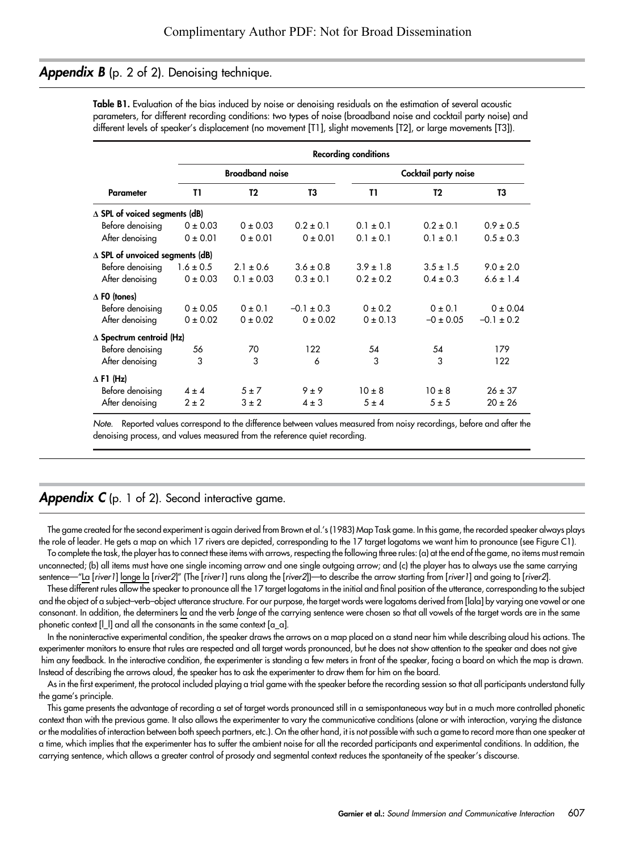#### Appendix B (p. 2 of 2). Denoising technique.

Table B1. Evaluation of the bias induced by noise or denoising residuals on the estimation of several acoustic parameters, for different recording conditions: two types of noise (broadband noise and cocktail party noise) and different levels of speaker's displacement (no movement [T1], slight movements [T2], or large movements [T3]).

|                                           | <b>Recording conditions</b> |                |                |                      |                |                |
|-------------------------------------------|-----------------------------|----------------|----------------|----------------------|----------------|----------------|
| <b>Parameter</b>                          | <b>Broadband noise</b>      |                |                | Cocktail party noise |                |                |
|                                           | Τl                          | T <sub>2</sub> | T3             | Τl                   | T <sub>2</sub> | T3             |
| $\triangle$ SPL of voiced segments (dB)   |                             |                |                |                      |                |                |
| Before denoising                          | $0 \pm 0.03$                | $0 \pm 0.03$   | $0.2 \pm 0.1$  | $0.1 \pm 0.1$        | $0.2 \pm 0.1$  | $0.9 \pm 0.5$  |
| After denoising                           | 0 ± 0.01                    | 0 ± 0.01       | 0 ± 0.01       | $0.1 \pm 0.1$        | $0.1 \pm 0.1$  | $0.5 \pm 0.3$  |
| $\triangle$ SPL of unvoiced segments (dB) |                             |                |                |                      |                |                |
| Before denoising                          | $1.6 \pm 0.5$               | $2.1 \pm 0.6$  | $3.6 \pm 0.8$  | $3.9 \pm 1.8$        | $3.5 \pm 1.5$  | $9.0 \pm 2.0$  |
| After denoising                           | $0 \pm 0.03$                | $0.1 \pm 0.03$ | $0.3 \pm 0.1$  | $0.2 \pm 0.2$        | $0.4 \pm 0.3$  | $6.6 \pm 1.4$  |
| $\Delta$ FO (tones)                       |                             |                |                |                      |                |                |
| Before denoising                          | 0 ± 0.05                    | $0 \pm 0.1$    | $-0.1 \pm 0.3$ | $0 \pm 0.2$          | $0 \pm 0.1$    | $0 \pm 0.04$   |
| After denoising                           | 0 ± 0.02                    | 0 ± 0.02       | 0 ± 0.02       | $0 \pm 0.13$         | $-0 \pm 0.05$  | $-0.1 \pm 0.2$ |
| $\Delta$ Spectrum centroid (Hz)           |                             |                |                |                      |                |                |
| Before denoising                          | 56                          | 70             | 122            | 54                   | 54             | 179            |
| After denoising                           | 3                           | 3              | 6              | 3                    | 3              | 122            |
| $\Delta$ F1 (Hz)                          |                             |                |                |                      |                |                |
| Before denoising                          | $4 \pm 4$                   | $5 \pm 7$      | $9 \pm 9$      | $10 \pm 8$           | $10 \pm 8$     | $26 \pm 37$    |
| After denoising                           | $2 \pm 2$                   | $3 \pm 2$      | $4 \pm 3$      | $5 \pm 4$            | $5 \pm 5$      | $20 \pm 26$    |

Note. Reported values correspond to the difference between values measured from noisy recordings, before and after the denoising process, and values measured from the reference quiet recording.

#### **Appendix C** (p. 1 of 2). Second interactive game.

The game created for the second experiment is again derived from Brown et al.'s (1983) Map Task game. In this game, the recorded speaker always plays the role of leader. He gets a map on which 17 rivers are depicted, corresponding to the 17 target logatoms we want him to pronounce (see Figure C1).

To complete the task, the player has to connect these items with arrows, respecting the following three rules: (a) at the end of the game, no items must remain unconnected; (b) all items must have one single incoming arrow and one single outgoing arrow; and (c) the player has to always use the same carrying sentence—"La [river]] longe la [river2]" (The [river1] runs along the [river2])—to describe the arrow starting from [river1] and going to [river2].

These different rules allow the speaker to pronounce all the 17 target logatoms in the initial and final position of the utterance, corresponding to the subject and the object of a subject–verb–object utterance structure. For our purpose, the target words were logatoms derived from [lala] by varying one vowel or one consonant. In addition, the determiners la and the verb longe of the carrying sentence were chosen so that all vowels of the target words are in the same phonetic context [l\_l] and all the consonants in the same context [a\_a].

In the noninteractive experimental condition, the speaker draws the arrows on a map placed on a stand near him while describing aloud his actions. The experimenter monitors to ensure that rules are respected and all target words pronounced, but he does not show attention to the speaker and does not give him any feedback. In the interactive condition, the experimenter is standing a few meters in front of the speaker, facing a board on which the map is drawn. Instead of describing the arrows aloud, the speaker has to ask the experimenter to draw them for him on the board.

As in the first experiment, the protocol included playing a trial game with the speaker before the recording session so that all participants understand fully the game's principle.

This game presents the advantage of recording a set of target words pronounced still in a semispontaneous way but in a much more controlled phonetic context than with the previous game. It also allows the experimenter to vary the communicative conditions (alone or with interaction, varying the distance or the modalities of interaction between both speech partners, etc.). On the other hand, it is not possible with such a game to record more than one speaker at a time, which implies that the experimenter has to suffer the ambient noise for all the recorded participants and experimental conditions. In addition, the carrying sentence, which allows a greater control of prosody and segmental context reduces the spontaneity of the speaker's discourse.